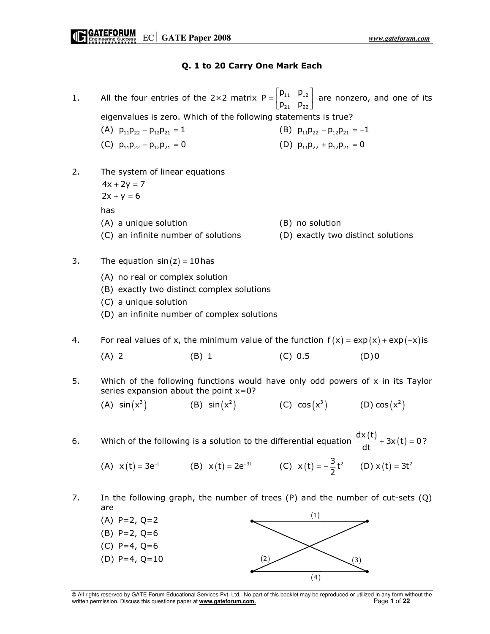## Q. 1 to 20 Carry One Mark Each

- 1. All the four entries of the 2×2 matrix  $P = \begin{bmatrix} P_{11} & P_{12} \\ P_{11} & P_{12} \end{bmatrix}$ 21 P<sub>22</sub>  $P = \begin{vmatrix} p_{11} & p_1 \\ p_{21} & p_2 \end{vmatrix}$  $=$   $\begin{bmatrix} p_{11} & p_{12} \\ p_{21} & p_{22} \end{bmatrix}$  are nonzero, and one of its eigenvalues is zero. Which of the following statements is true? (A)  $p_{11}p_{22} - p_{12}p_{21} = 1$  (B)  $p_{11}p_{22} - p_{12}p_{21} = -1$ (C)  $p_{11}p_{22} - p_{12}p_{21} = 0$  (D)  $p_{11}p_{22} + p_{12}p_{21} = 0$
- 2. The system of linear equations
	- $4x + 2y = 7$  $2x + y = 6$ has
	- (A) a unique solution (B) no solution
	-
- 
- (C) an infinite number of solutions (D) exactly two distinct solutions
- 3. The equation  $sin(z) = 10$  has
	- (A) no real or complex solution
	- (B) exactly two distinct complex solutions
	- (C) a unique solution
	- (D) an infinite number of complex solutions
- 4. For real values of x, the minimum value of the function  $f(x) = exp(x) + exp(-x)$  is (A) 2 (B) 1 (C) 0.5 (D) 0
- 5. Which of the following functions would have only odd powers of x in its Taylor series expansion about the point  $x=0$ ?

 $(A)$  sin $(x^3)$  $sin(x^3)$  (B)  $sin(x^2)$  (C)  $cos(x^3)$  (D)  $cos(x^2)$ 

6. Which of the following is a solution to the differential equation  $\frac{dx(t)}{dt} + 3x(t) = 0$ ?  $+3x(t)=$ 

(A)  $x(t) = 3e^{-t}$  (B)  $x(t) = 2e^{-3t}$  (C)  $x(t) = -\frac{3}{2}t^2$  (D)  $x(t) = 3t^2$ 

7. In the following graph, the number of trees (P) and the number of cut-sets (Q) are



© All rights reserved by GATE Forum Educational Services Pvt. Ltd. No part of this booklet may be reproduced or utilized in any form without the written permission. Discuss this questions paper at **www.gateforum.com**. Page **1** of **22**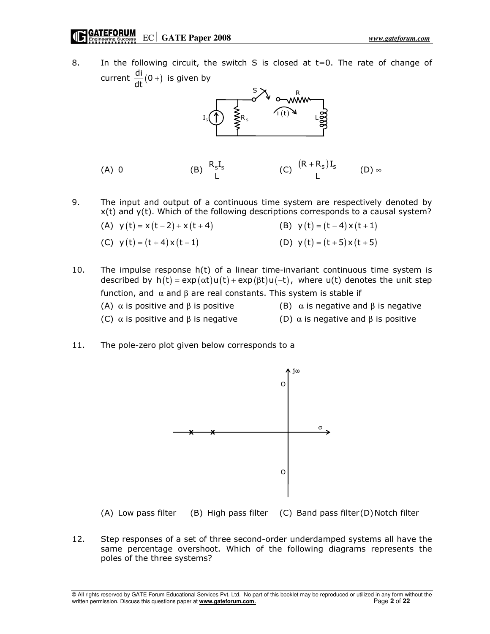8. In the following circuit, the switch S is closed at t=0. The rate of change of current  $\frac{di}{dt}(0+)$  is given by



- (A) 0 (B)  $\frac{R_{S}I_{S}}{L}$ (C)  $\frac{(R + R_s)I_s}{L}$ +  $(D)$  ∞
- 9. The input and output of a continuous time system are respectively denoted by x(t) and y(t). Which of the following descriptions corresponds to a causal system?
	- (A)  $y(t) = x(t-2) + x(t+4)$  (B)  $y(t) = (t-4)x(t+1)$
	- (C)  $y(t) = (t + 4)x(t 1)$  (D)  $y(t) = (t + 5)x(t + 5)$
- 10. The impulse response h(t) of a linear time-invariant continuous time system is described by  $h(t) = \exp(\alpha t) u(t) + \exp(\beta t) u(-t)$ , where  $u(t)$  denotes the unit step function, and α and β are real constants. This system is stable if
	-
	- (A)  $\alpha$  is positive and  $\beta$  is positive (B)  $\alpha$  is negative and  $\beta$  is negative
	- (C)  $\alpha$  is positive and  $\beta$  is negative (D)  $\alpha$  is negative and  $\beta$  is positive
- -
- 11. The pole-zero plot given below corresponds to a



(A) Low pass filter (B) High pass filter (C) Band pass filter (D) Notch filter

12. Step responses of a set of three second-order underdamped systems all have the same percentage overshoot. Which of the following diagrams represents the poles of the three systems?

© All rights reserved by GATE Forum Educational Services Pvt. Ltd. No part of this booklet may be reproduced or utilized in any form without the written permission. Discuss this questions paper at **www.gateforum.com**. Page **2** of **22**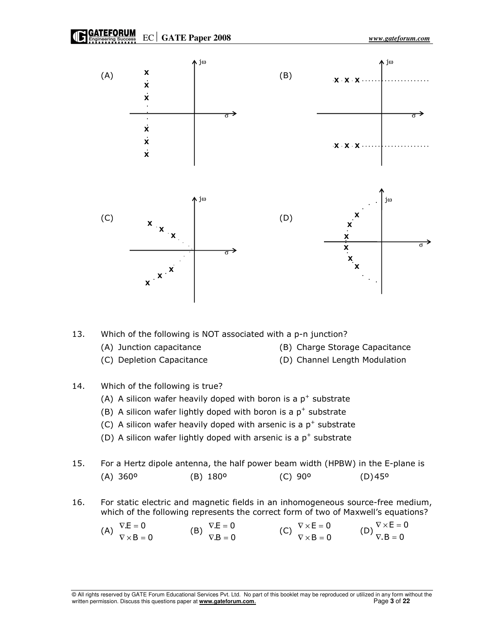



13. Which of the following is NOT associated with a p-n junction?

- 
- (A) Junction capacitance (B) Charge Storage Capacitance
- (C) Depletion Capacitance (D) Channel Length Modulation
- 
- 14. Which of the following is true?
- (A) A silicon wafer heavily doped with boron is a  $p^+$  substrate
- (B) A silicon wafer lightly doped with boron is a  $p^+$  substrate
- (C) A silicon wafer heavily doped with arsenic is a  $p^+$  substrate
- (D) A silicon wafer lightly doped with arsenic is a  $p^+$  substrate
- 15. For a Hertz dipole antenna, the half power beam width (HPBW) in the E-plane is (A) 360º (B) 180º (C) 90º (D) 45º
- 16. For static electric and magnetic fields in an inhomogeneous source-free medium, which of the following represents the correct form of two of Maxwell's equations?

$$
\begin{array}{llll}\n\text{(A)} & \nabla \cdot \mathbf{E} = 0 \\
\nabla \times \mathbf{B} = 0\n\end{array}\n\qquad\n\begin{array}{ll}\n\text{(B)} & \nabla \cdot \mathbf{E} = 0 \\
\nabla \cdot \mathbf{B} = 0\n\end{array}\n\qquad\n\begin{array}{ll}\n\text{(C)} & \nabla \times \mathbf{E} = 0 \\
\nabla \times \mathbf{B} = 0\n\end{array}\n\qquad\n\begin{array}{ll}\n\text{(D)} & \nabla \times \mathbf{E} = 0 \\
\nabla \cdot \mathbf{B} = 0\n\end{array}
$$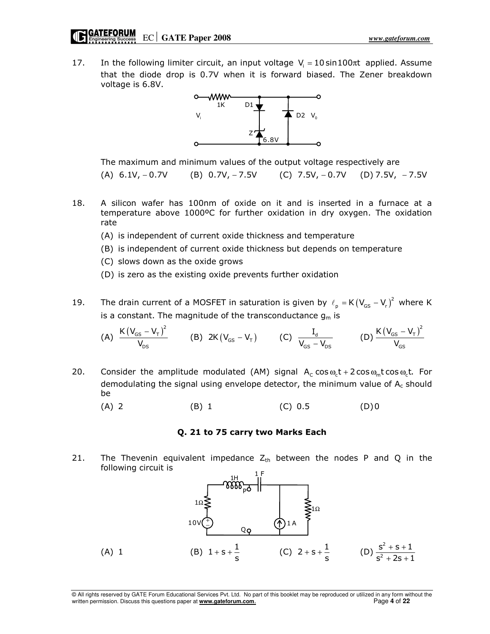17. In the following limiter circuit, an input voltage  $V_i = 10 \sin 100 \pi t$  applied. Assume that the diode drop is 0.7V when it is forward biased. The Zener breakdown voltage is 6.8V.



The maximum and minimum values of the output voltage respectively are

(A)  $6.1V, -0.7V$  (B)  $0.7V, -7.5V$  (C)  $7.5V, -0.7V$  (D)  $7.5V, -7.5V$ 

- 18. A silicon wafer has 100nm of oxide on it and is inserted in a furnace at a temperature above 1000ºC for further oxidation in dry oxygen. The oxidation rate
	- (A) is independent of current oxide thickness and temperature
	- (B) is independent of current oxide thickness but depends on temperature
	- (C) slows down as the oxide grows
	- (D) is zero as the existing oxide prevents further oxidation
- 19. The drain current of a MOSFET in saturation is given by  $\ell_p = K(V_{GS} V_r)^2$  where K is a constant. The magnitude of the transconductance  $g_m$  is

(A) 
$$
\frac{K(V_{GS} - V_{T})^2}{V_{DS}}
$$
 (B)  $2K(V_{GS} - V_{T})$  (C)  $\frac{I_d}{V_{GS} - V_{DS}}$  (D)  $\frac{K(V_{GS} - V_{T})^2}{V_{GS}}$ 

- 20. Consider the amplitude modulated (AM) signal  $A_c \cos \omega_c t + 2 \cos \omega_m t \cos \omega_c t$ . For demodulating the signal using envelope detector, the minimum value of  $A_c$  should be
	- (A) 2 (B) 1 (C) 0.5 (D) 0

#### Q. 21 to 75 carry two Marks Each

21. The Thevenin equivalent impedance  $Z_{th}$  between the nodes P and Q in the following circuit is

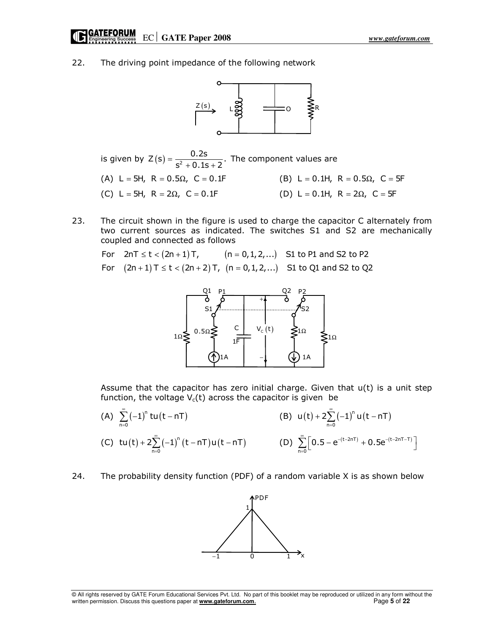22. The driving point impedance of the following network



is given by  $Z(s) = \frac{0.2s}{s^2 + 0.1s + 2}$ .  $s^2 + 0.1s + 2$ =  $\frac{0.25}{+0.1s+2}$ . The component values are (A) L = 5H, R =  $0.5\Omega$ , C =  $0.1F$  (B) L =  $0.1H$ , R =  $0.5\Omega$ , C = 5F (C) L = 5H, R = 2 $\Omega$ , C = 0.1F (D) L = 0.1H, R = 2 $\Omega$ , C = 5F

23. The circuit shown in the figure is used to charge the capacitor C alternately from two current sources as indicated. The switches S1 and S2 are mechanically coupled and connected as follows

For  $2nT \le t < (2n + 1)T$ ,  $(n = 0, 1, 2, ...)$  S1 to P1 and S2 to P2 For  $(2n + 1)$  T  $\le t < (2n + 2)$  T,  $(n = 0, 1, 2, ...)$  S1 to Q1 and S2 to Q2



Assume that the capacitor has zero initial charge. Given that  $u(t)$  is a unit step function, the voltage  $V_c(t)$  across the capacitor is given be

- (A)  $\sum_{n=0}^{\infty} (-1)^n \text{tu}(t nT)$  $\sum_{n=1}^{\infty}(-1)^{n}$  tu (t – nT  $\sum_{n=0}^{\infty} (-1)^n t u(t - nT)$  (B)  $u(t) + 2 \sum_{n=0}^{\infty} (-1)^n u(t - nT)$  $u(t) + 2\sum_{n=1}^{\infty} (-1)^n u(t - nT)$  $+ 2 \sum_{n=0}^{\infty} (-1)^n u(t -$ (C)  $tu(t) + 2\sum_{n=0}^{\infty} (-1)^n (t - nT)u(t - nT)$ tu (t) + 2 $\sum_{n=1}^{\infty}$  (-1)<sup>n</sup> (t – nT) u (t – nT  $+ 2 \sum_{n=0}^{\infty} (-1)^n (t - nT) u(t - nT)$  (D)  $\sum_{n=0}^{\infty} [0.5 - e^{-(t-2nT)} + 0.5e^{-(t-2nT-T)}]$  $\sum_{n=1}^{\infty} [0.5 - e^{-(t-2nT)} + 0.5e^{-(t-2nT - t)}]$  $\sum_{n=0}^{\infty} \left[ 0.5 - e^{-(t-2nT)} + 0.5 e^{-(t-2nT-T)} \right]$
- 24. The probability density function (PDF) of a random variable X is as shown below

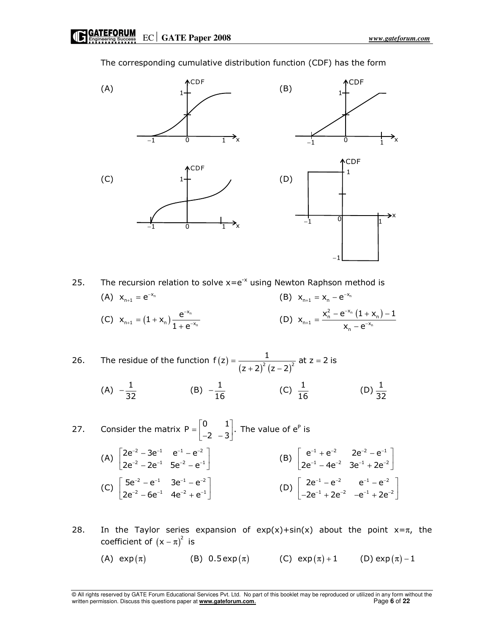$(A)$  (A)  $\downarrow$  (B) (C)  $1 +$  (D) 1  $-1$  0 1 x **CDF** 1 −1  $0 \qquad \qquad \frac{1}{1}$ x CDF 1  $-1$  0 1 x  $\overline{CDF}$  1 −1  $\begin{array}{ccc} \circ & \circ & \circ \end{array}$ x **ACDF** −1

The corresponding cumulative distribution function (CDF) has the form

25. The recursion relation to solve  $x=e^{-x}$  using Newton Raphson method is (A)  $x_{n+1} = e^{-x_n}$  $= e^{-x_n}$  (B)  $x_{n+1} = x_n - e^{-x_n}$ (C)  $X_{n+1} = (1 + X_n) \frac{e^{-X_n}}{1 - e^{-X_n}}$ n x  $n+1 = (1 + \lambda n)$  1  $\lambda$ <sup>-x</sup>  $x_{n+1} = (1 + x_n) \frac{e}{1}$  $1 + e^{-}$ −  $_{+1} = (1 + x_{n}) \frac{c}{1 + c^{-1}}$ + (D)  $X_{n+1} = \frac{X_n^2 - e^{-x_n} (1 + X_n)}{X_n}$ n  $x_{n+1} = \frac{x_n^2 - e^{-x_n} (1 + x_n)}{x_n - e^{-x_n}}$  $x_{n+1} = \frac{x_n^2 - e^{-x_n} (1 + x_n) - 1}{e^{-x}}$  $X_n - e^{-}$ −  $+1$   $+1$   $=\frac{x_n^2-e^{-x_n}(1+x_n)-x_n}{x_n}$ −

26. The residue of the function  $f(z)$  $(z + 2)^{2} (z - 2)^{2}$  $f(z) = \frac{1}{z-1}$  at  $z = 2$  is  $(z + 2)^2 (z - 2)$  $=$   $\frac{1}{2}$  at z = + 2)<sup>2</sup> (z – (A)  $-\frac{1}{32}$  $-\frac{1}{32}$  (B)  $-\frac{1}{16}$  (C)  $\frac{1}{16}$  (D)  $\frac{1}{32}$ 

27. Consider the matrix 
$$
P = \begin{bmatrix} 0 & 1 \ -2 & -3 \end{bmatrix}
$$
. The value of  $e^P$  is  
\n(A)  $\begin{bmatrix} 2e^{-2} - 3e^{-1} & e^{-1} - e^{-2} \ 2e^{-2} - 2e^{-1} & 5e^{-2} - e^{-1} \end{bmatrix}$   
\n(B)  $\begin{bmatrix} e^{-1} + e^{-2} & 2e^{-2} - e^{-1} \ 2e^{-1} - 4e^{-2} & 3e^{-1} + 2e^{-2} \end{bmatrix}$   
\n(C)  $\begin{bmatrix} 5e^{-2} - e^{-1} & 3e^{-1} - e^{-2} \ 2e^{-2} - 6e^{-1} & 4e^{-2} + e^{-1} \end{bmatrix}$   
\n(D)  $\begin{bmatrix} 2e^{-1} - e^{-2} & e^{-1} - e^{-2} \ -2e^{-1} + 2e^{-2} & -e^{-1} + 2e^{-2} \end{bmatrix}$ 

28. In the Taylor series expansion of  $exp(x) + sin(x)$  about the point  $x = \pi$ , the coefficient of  $(x - \pi)^2$  is

(A)  $\exp(\pi)$  (B) 0.5  $\exp(\pi)$  (C)  $\exp(\pi) + 1$  (D)  $\exp(\pi) - 1$ 

<sup>©</sup> All rights reserved by GATE Forum Educational Services Pvt. Ltd. No part of this booklet may be reproduced or utilized in any form without the written permission. Discuss this questions paper at **www.gateforum.com.** Page 6 of 22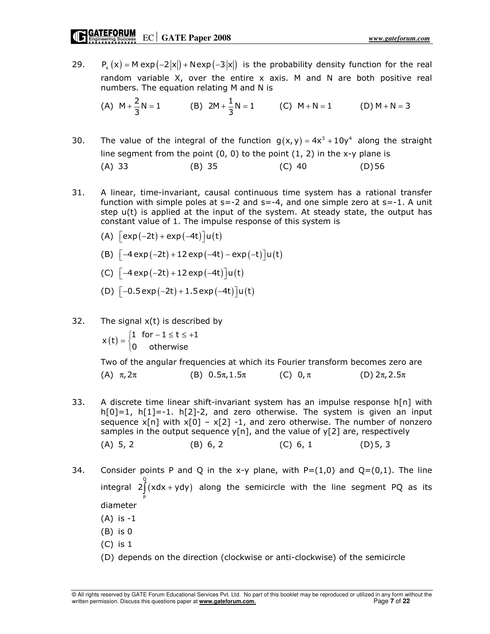29. P<sub>x</sub> (x) = M exp  $(-2|x|)$  + Nexp  $(-3|x|)$  is the probability density function for the real random variable  $X$ , over the entire  $X$  axis. M and N are both positive real numbers. The equation relating M and N is

(A) 
$$
M + \frac{2}{3}N = 1
$$
 (B)  $2M + \frac{1}{3}N = 1$  (C)  $M + N = 1$  (D)  $M + N = 3$ 

30. The value of the integral of the function  $g(x, y) = 4x^3 + 10y^4$  along the straight line segment from the point  $(0, 0)$  to the point  $(1, 2)$  in the x-y plane is

(A) 33 (B) 35 (C) 40 (D) 56

- 31. A linear, time-invariant, causal continuous time system has a rational transfer function with simple poles at  $s=-2$  and  $s=-4$ , and one simple zero at  $s=-1$ . A unit step  $u(t)$  is applied at the input of the system. At steady state, the output has constant value of 1. The impulse response of this system is
	- (A)  $\lceil \exp(-2t) + \exp(-4t) \rceil u(t)$
	- (B)  $\left[-4 \exp(-2t) + 12 \exp(-4t) \exp(-t) \right] u(t)$
	- (C)  $[-4 \exp(-2t) + 12 \exp(-4t)]u(t)$
	- (D)  $\left[-0.5 \exp(-2t) + 1.5 \exp(-4t)\right] u(t)$
- 32. The signal  $x(t)$  is described by

 $x(t) = \begin{cases} 1 & \text{for } -1 \leq t \leq +1 \\ 0 & \text{otherwise} \end{cases}$  $=\begin{cases} 1 & \text{for } -1 \leq t \leq + \\ 0 & \text{otherwise.} \end{cases}$  $\overline{a}$ 

 Two of the angular frequencies at which its Fourier transform becomes zero are (A)  $\pi$ ,  $2\pi$  (B)  $0.5\pi$ ,  $1.5\pi$  (C)  $0,\pi$  (D)  $2\pi$ ,  $2.5\pi$ 

- 33. A discrete time linear shift-invariant system has an impulse response  $h[n]$  with  $h[0]=1$ ,  $h[1]=-1$ .  $h[2]-2$ , and zero otherwise. The system is given an input sequence  $x[n]$  with  $x[0] - x[2] - 1$ , and zero otherwise. The number of nonzero samples in the output sequence  $y[n]$ , and the value of  $y[2]$  are, respectively (A)  $5, 2$  (B)  $6, 2$  (C)  $6, 1$  (D)  $5, 3$
- 34. Consider points P and Q in the x-y plane, with  $P=(1,0)$  and  $Q=(0,1)$ . The line integral  $2 \int_{0}^{Q} (x dx + y dy)$  along the semicircle with the line segment PQ as its P diameter
	- (A) is -1
	- (B) is 0
	- (C) is 1
	- (D) depends on the direction (clockwise or anti-clockwise) of the semicircle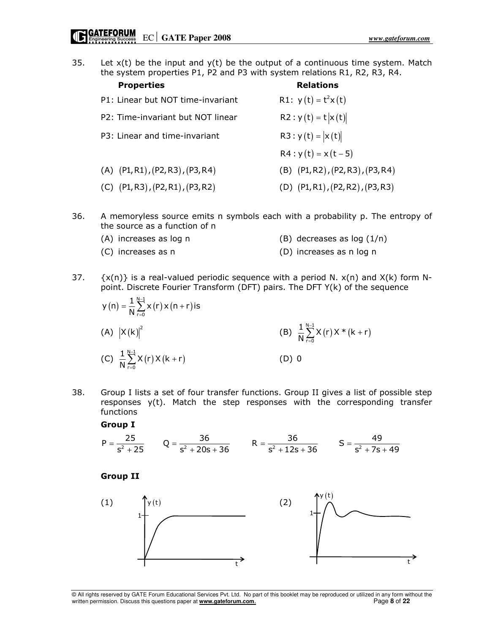35. Let  $x(t)$  be the input and  $y(t)$  be the output of a continuous time system. Match the system properties P1, P2 and P3 with system relations R1, R2, R3, R4.

| <b>Properties</b>                          | <b>Relations</b>                           |
|--------------------------------------------|--------------------------------------------|
| P1: Linear but NOT time-invariant          | R1: $y(t) = t^2x(t)$                       |
| P2: Time-invariant but NOT linear          | $R2: y(t) = t  x(t) $                      |
| P3: Linear and time-invariant              | R3 : $y(t) =  x(t) $                       |
|                                            | $R4: y(t) = x(t-5)$                        |
| $(A)$ $(PI, R1)$ , $(P2, R3)$ , $(P3, R4)$ | $(B)$ $(P1, R2)$ , $(P2, R3)$ , $(P3, R4)$ |
| $(C)$ $(P1, R3)$ , $(P2, R1)$ , $(P3, R2)$ | (D) $(P1, R1)$ , $(P2, R2)$ , $(P3, R3)$   |

- 36. A memoryless source emits n symbols each with a probability p. The entropy of the source as a function of n
	- (A) increases as log n  $(B)$  decreases as log  $(1/n)$ 
		-
	- (C) increases as n (D) increases as n log n
- 37.  $\{x(n)\}\)$  is a real-valued periodic sequence with a period N.  $x(n)$  and  $X(k)$  form Npoint. Discrete Fourier Transform (DFT) pairs. The DFT Y(k) of the sequence
- $(n) = \frac{1}{N} \sum_{r=1}^{N-1} x(r) x(n+r)$ r=0  $y(n) = \frac{1}{N} \sum_{r=0}^{N-1} x(r) x(n+r)$  is −  $=\frac{1}{N}\sum_{r=0}^{N}x(r)x(n+r)$ (A)  $|X(k)|^2$  $X(k)|^2$  (B)  $\frac{1}{N} \sum_{r=1}^{N-1} X(r) X^*(k+r)$ r=0  $\frac{1}{N} \sum_{r=0}^{N-1} X(r) X^*(k+r)$ −  $\sum_{r=0}^{N} X(r) X^* (k +$ (C)  $\frac{1}{N} \sum_{r=1}^{N-1} X(r) X(k+r)$ r=0  $\frac{1}{N} \sum_{r=0}^{N-1} X(r) X(k+r)$ −  $\sum_{r=0}^{N-1} X(r) X(k+r)$  (D) 0
- 38. Group I lists a set of four transfer functions. Group II gives a list of possible step responses  $y(t)$ . Match the step responses with the corresponding transfer functions

#### Group I

$$
P = \frac{25}{s^2 + 25}
$$
 Q =  $\frac{36}{s^2 + 20s + 36}$  R =  $\frac{36}{s^2 + 12s + 36}$  S =  $\frac{49}{s^2 + 7s + 49}$ 

Group II



<sup>©</sup> All rights reserved by GATE Forum Educational Services Pvt. Ltd. No part of this booklet may be reproduced or utilized in any form without the written permission. Discuss this questions paper at www.gateforum.com. Page 8 written permission. Discuss this questions paper at **www.gateforum.com.**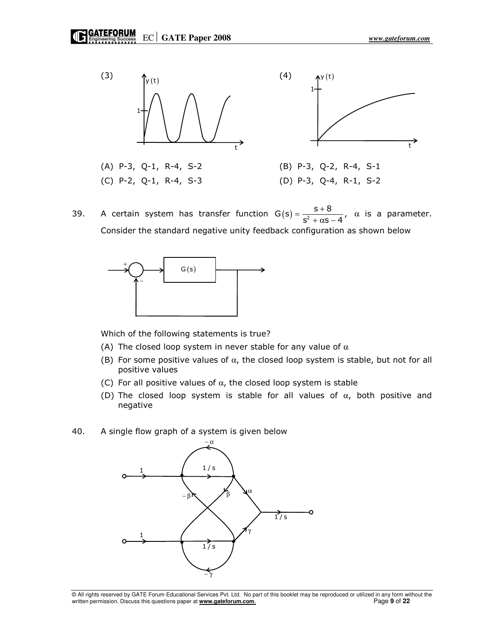

39. A certain system has transfer function  $G(s) = \frac{s+8}{s^2 + s^2}$ ,  $s^2 + \alpha s - 4$  $=\frac{S+}{}$  $\frac{3+8}{1+8}$ ,  $\alpha$  is a parameter. Consider the standard negative unity feedback configuration as shown below



Which of the following statements is true?

- (A) The closed loop system in never stable for any value of  $\alpha$
- (B) For some positive values of  $\alpha$ , the closed loop system is stable, but not for all positive values
- (C) For all positive values of  $\alpha$ , the closed loop system is stable
- (D) The closed loop system is stable for all values of  $\alpha$ , both positive and negative
- 40. A single flow graph of a system is given below

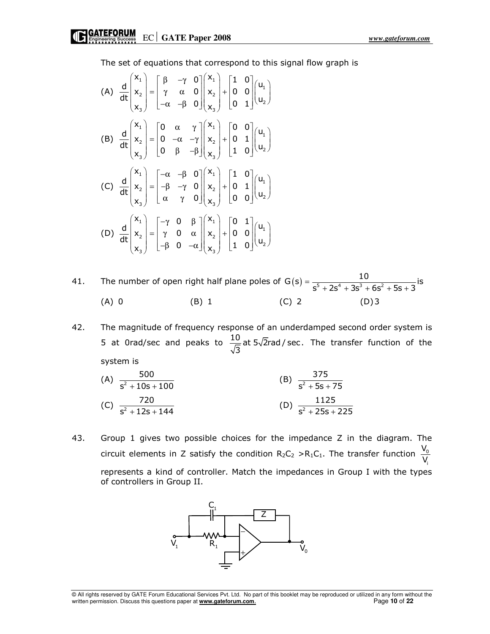The set of equations that correspond to this signal flow graph is

(A) 
$$
\frac{d}{dt} \begin{pmatrix} x_1 \\ x_2 \\ x_3 \end{pmatrix} = \begin{bmatrix} \beta & -\gamma & 0 \\ \gamma & \alpha & 0 \\ -\alpha & -\beta & 0 \end{bmatrix} \begin{bmatrix} x_1 \\ x_2 \\ x_3 \end{bmatrix} + \begin{bmatrix} 1 & 0 \\ 0 & 0 \\ 0 & 1 \end{bmatrix} \begin{bmatrix} u_1 \\ u_2 \end{bmatrix}
$$
  
\n(B) 
$$
\frac{d}{dt} \begin{bmatrix} x_1 \\ x_2 \\ x_3 \end{bmatrix} = \begin{bmatrix} 0 & \alpha & \gamma \\ 0 & -\alpha & -\gamma \\ 0 & \beta & -\beta \end{bmatrix} \begin{bmatrix} x_1 \\ x_2 \\ x_3 \end{bmatrix} + \begin{bmatrix} 0 & 0 \\ 0 & 1 \\ 1 & 0 \end{bmatrix} \begin{bmatrix} u_1 \\ u_2 \end{bmatrix}
$$
  
\n(C) 
$$
\frac{d}{dt} \begin{bmatrix} x_1 \\ x_2 \\ x_3 \end{bmatrix} = \begin{bmatrix} -\alpha & -\beta & 0 \\ -\beta & -\gamma & 0 \\ \alpha & \gamma & 0 \end{bmatrix} \begin{bmatrix} x_1 \\ x_2 \\ x_3 \end{bmatrix} + \begin{bmatrix} 1 & 0 \\ 0 & 1 \\ 0 & 0 \end{bmatrix} \begin{bmatrix} u_1 \\ u_2 \end{bmatrix}
$$
  
\n(D) 
$$
\frac{d}{dt} \begin{bmatrix} x_1 \\ x_2 \\ x_3 \end{bmatrix} = \begin{bmatrix} -\gamma & 0 & \beta \\ \gamma & 0 & \alpha \\ -\beta & 0 & -\alpha \end{bmatrix} \begin{bmatrix} x_1 \\ x_2 \\ x_3 \end{bmatrix} + \begin{bmatrix} 0 & 1 \\ 0 & 0 \\ 1 & 0 \end{bmatrix} \begin{bmatrix} u_1 \\ u_2 \end{bmatrix}
$$

41. The number of open right half plane poles of  $G(s) = \frac{10}{s^5 + 2s^4 + 3s^3 + 6s^2 + 5s + 3}$  is  $s^3$  + 2s<sup>4</sup> + 3s<sup>3</sup> + 6s<sup>2</sup> + 5s + 3 =  $+ 2s<sup>4</sup> + 3s<sup>3</sup> + 6s<sup>2</sup> + 5s +$ (A) 0 (B) 1 (C) 2 (D) 3

42. The magnitude of frequency response of an underdamped second order system is 5 at 0rad/sec and peaks to  $\frac{10}{\sqrt{2}}$  at 5 $\sqrt{2}$ rad/sec. 3 The transfer function of the system is

(A) 
$$
\frac{500}{s^2 + 10s + 100}
$$
 (B)  $\frac{375}{s^2 + 5s + 75}$   
(C)  $\frac{720}{s^2 + 12s + 144}$  (D)  $\frac{1125}{s^2 + 25s + 225}$ 

43. Group 1 gives two possible choices for the impedance Z in the diagram. The circuit elements in Z satisfy the condition  $R_2C_2 > R_1C_1$ . The transfer function i V V represents a kind of controller. Match the impedances in Group I with the types of controllers in Group II.



© All rights reserved by GATE Forum Educational Services Pvt. Ltd. No part of this booklet may be reproduced or utilized in any form without the written permission. Discuss this questions paper at **www.gateforum.com.** Page **10** of **22 Page 10** of **22**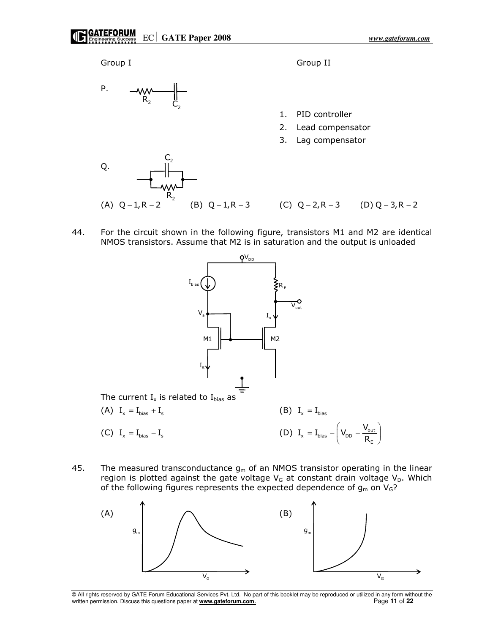

44. For the circuit shown in the following figure, transistors M1 and M2 are identical NMOS transistors. Assume that M2 is in saturation and the output is unloaded



45. The measured transconductance  $g_m$  of an NMOS transistor operating in the linear region is plotted against the gate voltage  $V_G$  at constant drain voltage  $V_D$ . Which of the following figures represents the expected dependence of  $g_m$  on  $V_G$ ?



<sup>©</sup> All rights reserved by GATE Forum Educational Services Pvt. Ltd. No part of this booklet may be reproduced or utilized in any form without the written permission. Discuss this questions paper at **www.gateforum.com.** Page 11 of 22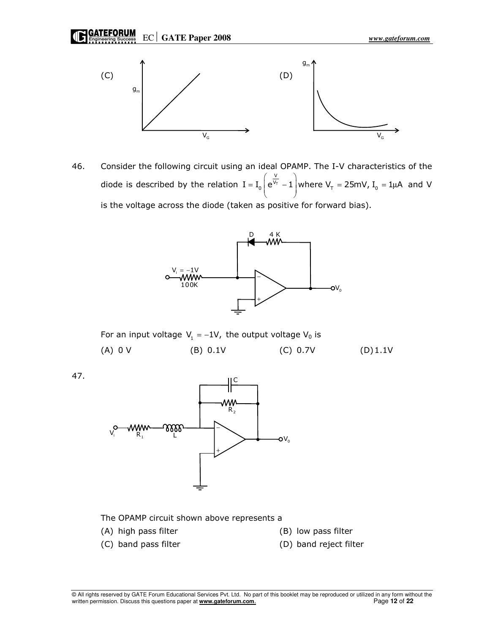EC **GATE Paper 2008** *www.gateforum.com* 



46. Consider the following circuit using an ideal OPAMP. The I-V characteristics of the diode is described by the relation  $I = I_0 |e^{V_T}$ V  $I = I_0$   $e^{V_T} - 1$  where  $V_T = 25$ mV,  $I_0 = 1 \mu A$  $\left(\begin{array}{cc} \frac{\mathsf{V}}{\cdots} \end{array}\right)$  $= I_0 \left( e^{V_T} - 1 \right)$  where  $V_T = 25$ mV,  $I_0 = 1 \mu A$  and V is the voltage across the diode (taken as positive for forward bias).



For an input voltage  $V_1 = -1V$ , the output voltage  $V_0$  is

(A) 0 V (B) 0.1V (C) 0.7V (D) 1.1V

47.



The OPAMP circuit shown above represents a

- (A) high pass filter (B) low pass filter
- 
- 
- (C) band pass filter (D) band reject filter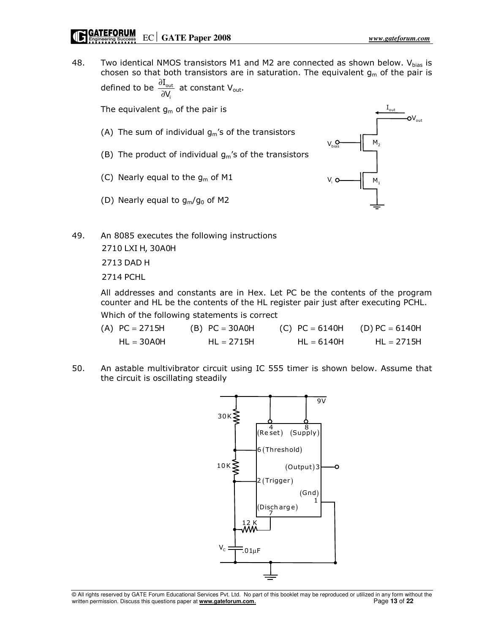## Engineering success  $\mathbb{E} \mathbf{C} \parallel \mathbf{GATE}$  Paper 2008

48. Two identical NMOS transistors M1 and M2 are connected as shown below.  $V_{bias}$  is chosen so that both transistors are in saturation. The equivalent  $g_m$  of the pair is defined to be  $\frac{0.20 \text{ m}}{0.20 \text{ m}}$ I V, ∂  $\frac{d^2\text{out}}{dN_i}$  at constant V<sub>out</sub>.

The equivalent  $g_m$  of the pair is

i

- (A) The sum of individual  $g_m$ 's of the transistors
- (B) The product of individual  $g_m$ 's of the transistors
- (C) Nearly equal to the  $q_m$  of M1
- (D) Nearly equal to  $g_m/g_0$  of M2



49. An 8085 executes the following instructions 2710 LXI H, 30A0H

2713 DAD H

2714 PCHL

All addresses and constants are in Hex. Let PC be the contents of the program counter and HL be the contents of the HL register pair just after executing PCHL.

Which of the following statements is correct

| (A) $PC = 2715H$ | $(B) PC = 30AOH$ | (C) $PC = 6140H$ (D) $PC = 6140H$ |              |
|------------------|------------------|-----------------------------------|--------------|
| $HL = 30A0H$     | $HL = 2715H$     | $HL = 6140H$                      | $HL = 2715H$ |

50. An astable multivibrator circuit using IC 555 timer is shown below. Assume that the circuit is oscillating steadily

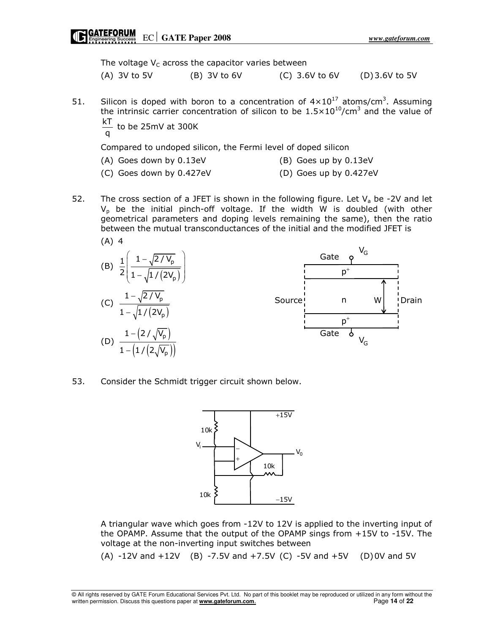The voltage  $V_C$  across the capacitor varies between

(A) 3V to 5V (B) 3V to 6V (C) 3.6V to 6V (D) 3.6V to 5V

- 51. Silicon is doped with boron to a concentration of  $4 \times 10^{17}$  atoms/cm<sup>3</sup>. Assuming the intrinsic carrier concentration of silicon to be  $1.5 \times 10^{10}$ /cm<sup>3</sup> and the value of kT
	- $\stackrel{\cdot \cdot}{\mathsf{q}}$  to be 25mV at 300K<br>q

Compared to undoped silicon, the Fermi level of doped silicon

- (A) Goes down by 0.13eV (B) Goes up by 0.13eV
- 
- (C) Goes down by 0.427eV (D) Goes up by 0.427eV
- 52. The cross section of a JFET is shown in the following figure. Let  $V_a$  be -2V and let  $V_p$  be the initial pinch-off voltage. If the width W is doubled (with other geometrical parameters and doping levels remaining the same), then the ratio between the mutual transconductances of the initial and the modified JFET is



53. Consider the Schmidt trigger circuit shown below.



 A triangular wave which goes from -12V to 12V is applied to the inverting input of the OPAMP. Assume that the output of the OPAMP sings from +15V to -15V. The voltage at the non-inverting input switches between

(A)  $-12V$  and  $+12V$  (B)  $-7.5V$  and  $+7.5V$  (C)  $-5V$  and  $+5V$  (D) 0V and  $5V$ 

<sup>©</sup> All rights reserved by GATE Forum Educational Services Pvt. Ltd. No part of this booklet may be reproduced or utilized in any form without the written permission. Discuss this questions paper at **www.gateforum.com.** Page 14 of 22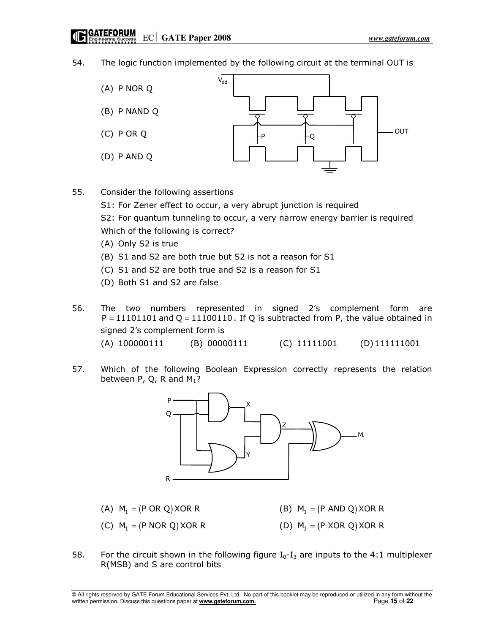## 54. The logic function implemented by the following circuit at the terminal OUT is



55. Consider the following assertions

S1: For Zener effect to occur, a very abrupt junction is required

 S2: For quantum tunneling to occur, a very narrow energy barrier is required Which of the following is correct?

- (A) Only S2 is true
- (B) S1 and S2 are both true but S2 is not a reason for S1
- (C) S1 and S2 are both true and S2 is a reason for S1
- (D) Both S1 and S2 are false

56. The two numbers represented in signed 2's complement form are  $P = 11101101$  and Q = 11100110. If Q is subtracted from P, the value obtained in signed 2's complement form is (A) 100000111 (B) 00000111 (C) 11111001 (D) 111111001

57. Which of the following Boolean Expression correctly represents the relation between P, Q, R and  $M_1$ ?



- (A)  $M_1 = (P \t{OR} \t{Q})$  XOR R  $= (P \text{ OR } Q) \text{ XOR } R$  (B)  $M_1 = (P \text{ AND } Q) \text{ XOR } R$ (C)  $M_1 = (P \text{ NOR } Q) \times \text{OR } R$  $= (P \text{ NOR } Q) \text{XOR R}$  (D)  $M_1 = (P \text{ XOR } Q) \text{XOR R}$
- 58. For the circuit shown in the following figure  $I_0-I_3$  are inputs to the 4:1 multiplexer R(MSB) and S are control bits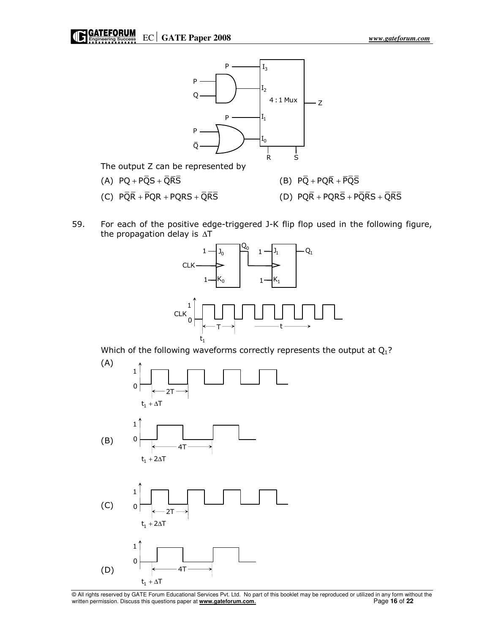

The output Z can be represented by

- (A)  $PQ + P\overline{Q}S + \overline{Q}\overline{R}\overline{S}$  (B)  $P\overline{Q} + P\overline{Q}\overline{R} + \overline{P}\overline{Q}\overline{S}$
- (C)  $\overline{PQR} + \overline{PQR} + \overline{PQRS} + \overline{QR}\overline{S}$  (D)  $\overline{PQR} + \overline{PQRS} + \overline{PQRS} + \overline{QR}\overline{S}$
- 59. For each of the positive edge-triggered J-K flip flop used in the following figure, the propagation delay is ∆T



Which of the following waveforms correctly represents the output at  $Q_1$ ?



<sup>©</sup> All rights reserved by GATE Forum Educational Services Pvt. Ltd. No part of this booklet may be reproduced or utilized in any form without the written permission. Discuss this questions paper at **www.gateforum.com.** Page 16 of 22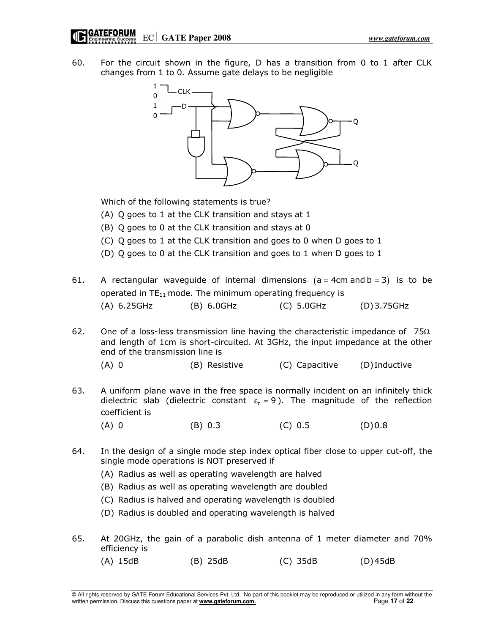60. For the circuit shown in the figure, D has a transition from 0 to 1 after CLK changes from 1 to 0. Assume gate delays to be negligible



Which of the following statements is true?

- (A) Q goes to 1 at the CLK transition and stays at 1
- (B) Q goes to 0 at the CLK transition and stays at 0
- (C) Q goes to 1 at the CLK transition and goes to 0 when D goes to 1
- (D) Q goes to 0 at the CLK transition and goes to 1 when D goes to 1
- 61. A rectangular waveguide of internal dimensions  $(a = 4cm$  and  $b = 3$  is to be operated in  $TE_{11}$  mode. The minimum operating frequency is (A) 6.25GHz (B) 6.0GHz (C) 5.0GHz (D) 3.75GHz
- 62. One of a loss-less transmission line having the characteristic impedance of  $75\Omega$ and length of 1cm is short-circuited. At 3GHz, the input impedance at the other end of the transmission line is
	- (A) 0 (B) Resistive (C) Capacitive (D) Inductive
- 63. A uniform plane wave in the free space is normally incident on an infinitely thick dielectric slab (dielectric constant  $\varepsilon_r = 9$ ). The magnitude of the reflection coefficient is
- (A) 0 (B) 0.3 (C) 0.5 (D) 0.8
- 64. In the design of a single mode step index optical fiber close to upper cut-off, the single mode operations is NOT preserved if
	- (A) Radius as well as operating wavelength are halved
	- (B) Radius as well as operating wavelength are doubled
	- (C) Radius is halved and operating wavelength is doubled
	- (D) Radius is doubled and operating wavelength is halved
- 65. At 20GHz, the gain of a parabolic dish antenna of 1 meter diameter and 70% efficiency is
	- (A) 15dB (B) 25dB (C) 35dB (D) 45dB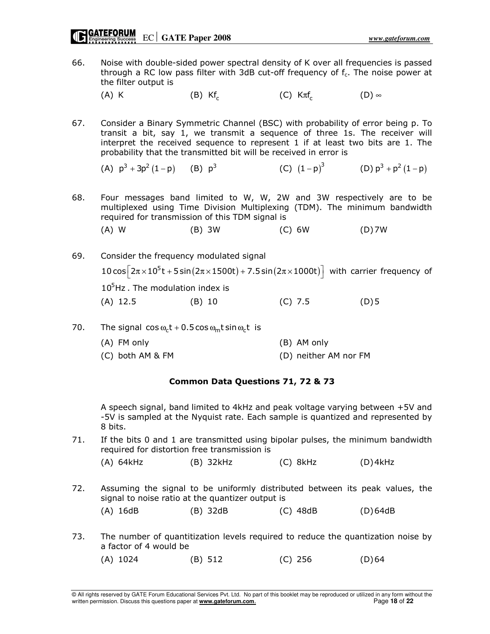66. Noise with double-sided power spectral density of K over all frequencies is passed through a RC low pass filter with 3dB cut-off frequency of  $f_c$ . The noise power at the filter output is

 $(A)$  K (B) Kf<sub>c</sub>  $(C)$  K $\pi f_c$  $(D)$  ∞

67. Consider a Binary Symmetric Channel (BSC) with probability of error being p. To transit a bit, say 1, we transmit a sequence of three 1s. The receiver will interpret the received sequence to represent 1 if at least two bits are 1. The probability that the transmitted bit will be received in error is

(A)  $p^3 + 3p^2 (1-p)$  (B)  $p^3$ (C)  $(1-p)^3$  (D)  $p^3 + p^2 (1-p)$ 

68. Four messages band limited to W, W, 2W and 3W respectively are to be multiplexed using Time Division Multiplexing (TDM). The minimum bandwidth required for transmission of this TDM signal is

(A) W (B) 3W (C) 6W (D) 7W

- 69. Consider the frequency modulated signal  $10 \cos \left[2\pi \times 10^5 t + 5 \sin \left(2\pi \times 1500 t\right) + 7.5 \sin \left(2\pi \times 1000 t\right)\right]$  with carrier frequency of  $10<sup>5</sup>$  Hz . The modulation index is (A) 12.5 (B) 10 (C) 7.5 (D) 5
- 70. The signal cos  $\omega_c t + 0.5 \cos \omega_m t \sin \omega_c t$  is
	- (A) FM only (B) AM only (C) both AM & FM (D) neither AM nor FM

## Common Data Questions 71, 72 & 73

 A speech signal, band limited to 4kHz and peak voltage varying between +5V and -5V is sampled at the Nyquist rate. Each sample is quantized and represented by 8 bits.

71. If the bits 0 and 1 are transmitted using bipolar pulses, the minimum bandwidth required for distortion free transmission is

(A) 64kHz (B) 32kHz (C) 8kHz (D) 4kHz

72. Assuming the signal to be uniformly distributed between its peak values, the signal to noise ratio at the quantizer output is

(A) 16dB (B) 32dB (C) 48dB (D) 64dB

73. The number of quantitization levels required to reduce the quantization noise by a factor of 4 would be

(A) 1024 (B) 512 (C) 256 (D) 64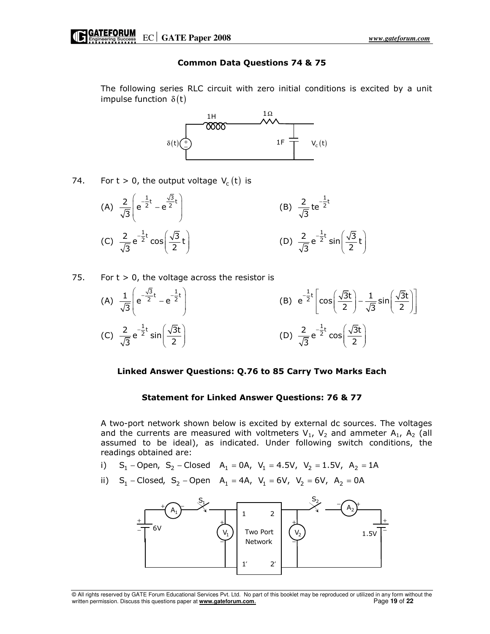## Common Data Questions 74 & 75

 The following series RLC circuit with zero initial conditions is excited by a unit impulse function  $\delta(t)$ 



74. For  $t > 0$ , the output voltage  $V_c(t)$  is

(A) 
$$
\frac{2}{\sqrt{3}} \left( e^{-\frac{1}{2}t} - e^{\frac{\sqrt{3}}{2}t} \right)
$$
  
\n(B)  $\frac{2}{\sqrt{3}} te^{-\frac{1}{2}t}$   
\n(C)  $\frac{2}{\sqrt{3}} e^{-\frac{1}{2}t} \cos \left( \frac{\sqrt{3}}{2}t \right)$   
\n(D)  $\frac{2}{\sqrt{3}} e^{-\frac{1}{2}t} \sin \left( \frac{\sqrt{3}}{2}t \right)$ 

75. For  $t > 0$ , the voltage across the resistor is

(A) 
$$
\frac{1}{\sqrt{3}} \left( e^{-\frac{\sqrt{3}}{2}t} - e^{-\frac{1}{2}t} \right)
$$
  
\n(B)  $e^{-\frac{1}{2}t} \left[ \cos\left(\frac{\sqrt{3}t}{2}\right) - \frac{1}{\sqrt{3}}\sin\left(\frac{\sqrt{3}t}{2}\right) \right]$   
\n(C)  $\frac{2}{\sqrt{3}} e^{-\frac{1}{2}t} \sin\left(\frac{\sqrt{3}t}{2}\right)$   
\n(D)  $\frac{2}{\sqrt{3}} e^{-\frac{1}{2}t} \cos\left(\frac{\sqrt{3}t}{2}\right)$ 

#### Linked Answer Questions: Q.76 to 85 Carry Two Marks Each

#### Statement for Linked Answer Questions: 76 & 77

 A two-port network shown below is excited by external dc sources. The voltages and the currents are measured with voltmeters  $V_1$ ,  $V_2$  and ammeter A<sub>1</sub>, A<sub>2</sub> (all assumed to be ideal), as indicated. Under following switch conditions, the readings obtained are:

- i) S<sub>1</sub> Open, S<sub>2</sub> Closed A<sub>1</sub> = 0A, V<sub>1</sub> = 4.5V, V<sub>2</sub> = 1.5V, A<sub>2</sub> = 1A
- ii) S<sub>1</sub> Closed, S<sub>2</sub> Open A<sub>1</sub> = 4A, V<sub>1</sub> = 6V, V<sub>2</sub> = 6V, A<sub>2</sub> = 0A

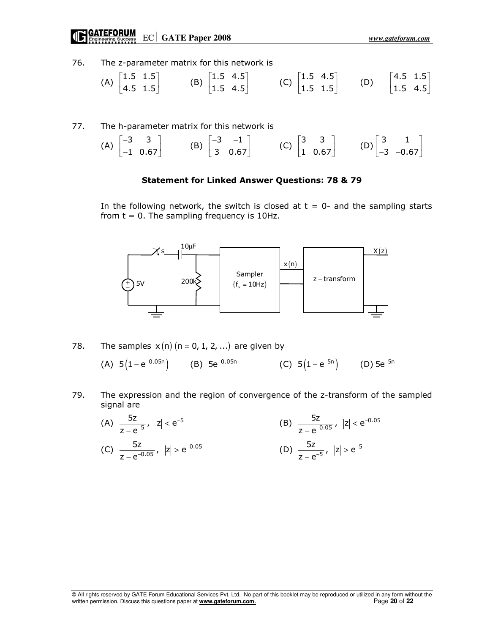# EC **GATE Paper 2008** *www.gateforum.com*

76. The z-parameter matrix for this network is

| $\binom{1.5}{1.5}$ |  | $\sim$ [1.5 4.5]<br>$ 1.5 \t4.5 $ |  | [1.5 4.5]<br>$\begin{bmatrix} C \end{bmatrix}$ 1.5 1.5 |  | $[4.5 \ 1.5]$ |  |
|--------------------|--|-----------------------------------|--|--------------------------------------------------------|--|---------------|--|
| $ 4.5 \t1.5 $      |  |                                   |  |                                                        |  | $ 1.5 \t4.5 $ |  |

77. The h-parameter matrix for this network is

| (A) $\begin{bmatrix} -3 & 3 \\ -1 & 0.67 \end{bmatrix}$ (B) $\begin{bmatrix} -3 & -1 \\ 3 & 0.67 \end{bmatrix}$ (C) $\begin{bmatrix} 3 & 3 \\ 1 & 0.67 \end{bmatrix}$ (D) $\begin{bmatrix} 3 & 1 \\ -3 & -0.67 \end{bmatrix}$ |  |  |  |
|-------------------------------------------------------------------------------------------------------------------------------------------------------------------------------------------------------------------------------|--|--|--|
|                                                                                                                                                                                                                               |  |  |  |

## Statement for Linked Answer Questions: 78 & 79

In the following network, the switch is closed at  $t = 0$ - and the sampling starts from  $t = 0$ . The sampling frequency is 10Hz.



78. The samples  $x(n)$  (n = 0, 1, 2, ...) are given by

(A)  $5\left(1-\mathrm{e}^{-0.05\mathrm{n}}\right)$  (B)  $5\mathrm{e}^{-0.05\mathrm{n}}$  (C)  $5\left(1-\mathrm{e}^{-5\mathrm{n}}\right)$  (D)  $5\mathrm{e}^{-5\mathrm{n}}$ 

- 79. The expression and the region of convergence of the z-transform of the sampled signal are
- (A)  $\frac{32}{7-2^{-5}}$ ,  $|z| < e^{-5}$  $\frac{5z}{5}$ ,  $|z| < e^{-z}$  $z - e^{-}$ −  $\frac{1}{-5}$ ,  $|z|$  < − (B)  $\frac{32}{7-0.05}$ ,  $|z| < e^{-0.05}$  $\frac{5z}{2.05}$ ,  $|z| < e^{-z}$  $z - e^{-}$ −  $\frac{2}{-0.05}$ , |z| < −  $(C)$   $\frac{32}{7 \cdot 0.05}$ ,  $|z| > e^{-0.05}$  $\frac{5z}{2.05}$ ,  $|z| > e^{-z}$  $z - e^{-}$ −  $\frac{2}{-0.05}$ ,  $|Z| >$ − (D)  $\frac{32}{7}$ ,  $|z| > e^{-5}$  $\frac{5z}{5}$ ,  $|z| > e^{-z}$  $z - e^{-}$ − <sub>−5</sub>, |z| > −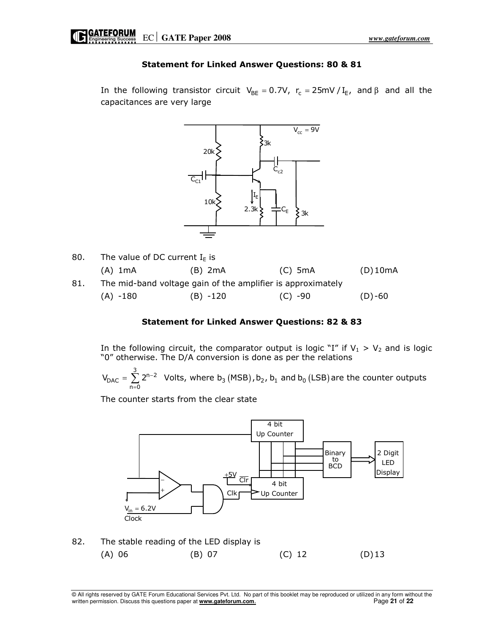## Statement for Linked Answer Questions: 80 & 81

In the following transistor circuit  $V_{BE} = 0.7V$ ,  $r_c = 25mV / I_E$ , and  $\beta$  and all the capacitances are very large



80. The value of DC current  $I_{E}$  is (A) 1mA (B) 2mA (C) 5mA (D) 10mA 81. The mid-band voltage gain of the amplifier is approximately  $(A) -180$  (B)  $-120$  (C)  $-90$  (D)  $-60$ 

## Statement for Linked Answer Questions: 82 & 83

In the following circuit, the comparator output is logic "I" if  $V_1 > V_2$  and is logic "0" otherwise. The D/A conversion is done as per the relations

$$
V_{\text{DAC}} = \sum_{n=0}^{3} 2^{n-2}
$$
 Volts, where b<sub>3</sub> (MSB), b<sub>2</sub>, b<sub>1</sub> and b<sub>0</sub> (LSB) are the counter outputs

The counter starts from the clear state



82. The stable reading of the LED display is (A) 06 (B) 07 (C) 12 (D) 13

© All rights reserved by GATE Forum Educational Services Pvt. Ltd. No part of this booklet may be reproduced or utilized in any form without the written permission. Discuss this questions paper at **www.gateforum.com.** Page 21 of 22 of 22